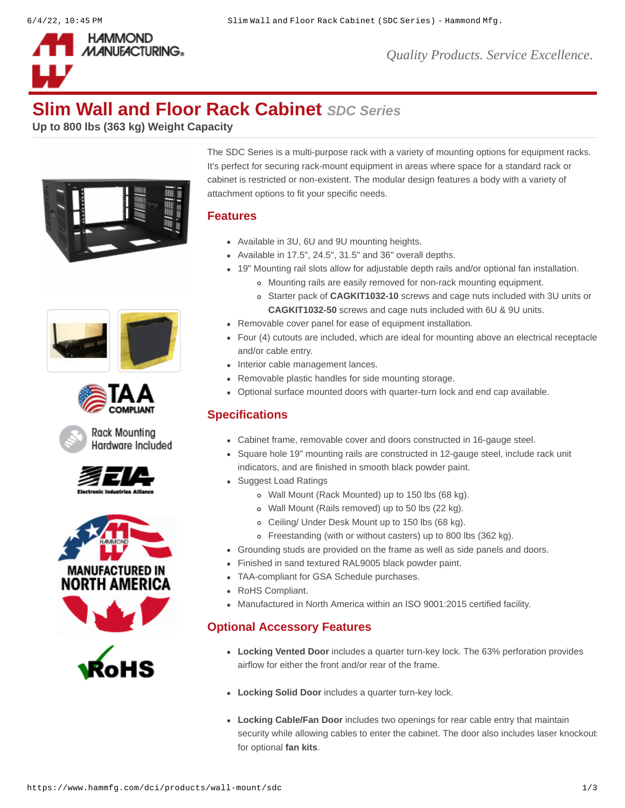

# **Slim Wall and Floor Rack Cabinet** *SDC Series*

**Up to 800 lbs (363 kg) Weight Capacity**







Rack Mounting Hardware Included







The SDC Series is a multi-purpose rack with a variety of mounting options for equipment racks. It's perfect for securing rack-mount equipment in areas where space for a standard rack or cabinet is restricted or non-existent. The modular design features a body with a variety of attachment options to fit your specific needs.

## **Features**

- Available in 3U, 6U and 9U mounting heights.
- $\bullet$  Available in 17.5", 24.5", 31.5" and 36" overall depths.
- 19" Mounting rail slots allow for adjustable depth rails and/or optional fan installation.
	- Mounting rails are easily removed for non-rack mounting equipment.
	- Starter pack of **[CAGKIT1032-10](https://www.hammfg.com/dci/products/accessories/cagkit)** screws and cage nuts included with 3U units or **[CAGKIT1032-50](https://www.hammfg.com/dci/products/accessories/cagkit)** screws and cage nuts included with 6U & 9U units.
- Removable cover panel for ease of equipment installation.
- Four (4) cutouts are included, which are ideal for mounting above an electrical receptacle and/or cable entry.
- Interior cable management lances.
- Removable plastic handles for side mounting storage.
- Optional surface mounted doors with quarter-turn lock and end cap available.

## **Specifications**

- Cabinet frame, removable cover and doors constructed in 16-gauge steel.
- Square hole 19" mounting rails are constructed in 12-gauge steel, include rack unit indicators, and are finished in smooth black powder paint.
- Suggest Load Ratings
	- Wall Mount (Rack Mounted) up to 150 lbs (68 kg).
	- Wall Mount (Rails removed) up to 50 lbs (22 kg).
	- Ceiling/ Under Desk Mount up to 150 lbs (68 kg).
	- Freestanding (with or without casters) up to 800 lbs (362 kg).
- Grounding studs are provided on the frame as well as side panels and doors.
- Finished in sand textured RAL9005 black powder paint.
- TAA-compliant for GSA Schedule purchases.
- RoHS Compliant.
- Manufactured in North America within an ISO 9001:2015 certified facility.

## **Optional Accessory Features**

- **Locking Vented Door** includes a quarter turn-key lock. The 63% perforation provides airflow for either the front and/or rear of the frame.
- **Locking Solid Door** includes a quarter turn-key lock.
- **Locking Cable/Fan Door** includes two openings for rear cable entry that maintain security while allowing cables to enter the cabinet. The door also includes laser knockouts for optional **[fan kits](https://www.hammfg.com/product/fk)**.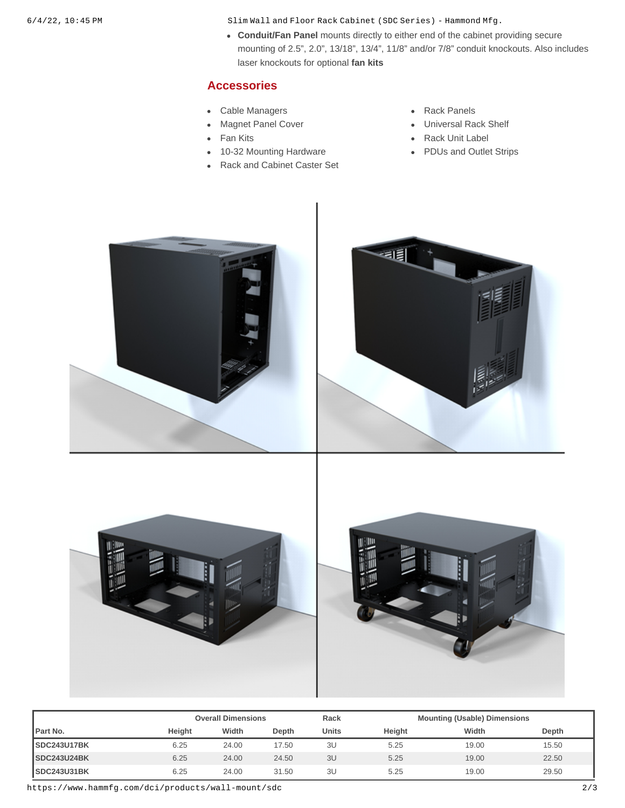6/4/22, 10:45 PM Slim Wall and Floor Rack Cabinet (SDC Series) - Hammond Mfg.

**Conduit/Fan Panel** mounts directly to either end of the cabinet providing secure mounting of 2.5", 2.0", 13/18", 13/4", 11/8" and/or 7/8" conduit knockouts. Also includes laser knockouts for optional **[fan kits](https://www.hammfg.com/product/fk)**

### **Accessories**

- [Cable Managers](https://www.hammfg.com/dci/products/accessories/cable-management?referer=1084&itm_type=accessory) **[Rack Panels](https://www.hammfg.com/dci/products/accessories/panels?referer=1084&itm_type=accessory)**
- $\bullet$
- $\bullet$
- [10-32 Mounting Hardware](https://www.hammfg.com/dci/products/accessories/mounting-hardware/10-32?referer=1084&itm_type=accessory) **Conservation Conservation Conservation** [PDUs and Outlet Strips](https://www.hammfg.com/electronics/outlet-strips?referer=1084&itm_type=accessory)  $\bullet$
- [Rack and Cabinet Caster Set](https://www.hammfg.com/dci/products/accessories/1425b?referer=1084&itm_type=accessory)
- 
- [Magnet Panel Cover](https://www.hammfg.com/dci/products/accessories/mpc?referer=1084&itm_type=accessory) **Name Accord Cover Accord Panel Accord Panel Accord Panel Accord Panel Accord Panel Accord Panel Accord Panel Accord Panel Accord Panel Accord Panel Accord Panel Accord Panel Accord Panel Accord Panel Ac**
- [Fan Kits](https://www.hammfg.com/dci/products/accessories/fk?referer=1084&itm_type=accessory) **Fan Kits [Rack Unit Label](https://www.hammfg.com/dci/products/accessories/rulbk?referer=1084&itm_type=accessory)** 
	-









|                     |        | <b>Overall Dimensions</b> |       |              |        | <b>Mounting (Usable) Dimensions</b> |       |  |
|---------------------|--------|---------------------------|-------|--------------|--------|-------------------------------------|-------|--|
| <b>IPart No.</b>    | Heiaht | Width                     | Depth | <b>Units</b> | Height | Width                               | Depth |  |
| SDC243U17BK         | 6.25   | 24.00                     | 17.50 | 3U           | 5.25   | 19.00                               | 15.50 |  |
| <b>SDC243U24BK</b>  | 6.25   | 24.00                     | 24.50 | 3U           | 5.25   | 19.00                               | 22.50 |  |
| <b>ISDC243U31BK</b> | 6.25   | 24.00                     | 31.50 | 3U           | 5.25   | 19.00                               | 29.50 |  |

https://www.hammfg.com/dci/products/wall-mount/sdc 2/3